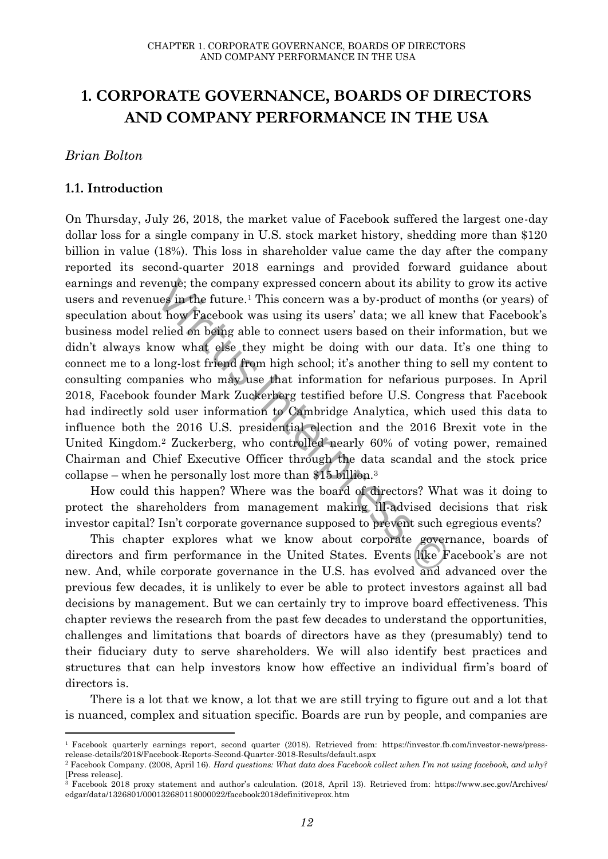# **1. CORPORATE GOVERNANCE, BOARDS OF DIRECTORS AND COMPANY PERFORMANCE IN THE USA**

#### *Brian Bolton*

 $\overline{a}$ 

#### **1.1. Introduction**

venue; the company expressed concern about its ability<br>uses in the future.<sup>1</sup> This concern was a by-product of m<br>tt how Facebook was using its users' data; we all kne<br>relied on being able to connect users based on their ir On Thursday, July 26, 2018, the market value of Facebook suffered the largest one-day dollar loss for a single company in U.S. stock market history, shedding more than \$120 billion in value (18%). This loss in shareholder value came the day after the company reported its second-quarter 2018 earnings and provided forward guidance about earnings and revenue; the company expressed concern about its ability to grow its active users and revenues in the future.<sup>1</sup> This concern was a by-product of months (or years) of speculation about how Facebook was using its users' data; we all knew that Facebook's business model relied on being able to connect users based on their information, but we didn't always know what else they might be doing with our data. It's one thing to connect me to a long-lost friend from high school; it's another thing to sell my content to consulting companies who may use that information for nefarious purposes. In April 2018, Facebook founder Mark Zuckerberg testified before U.S. Congress that Facebook had indirectly sold user information to Cambridge Analytica, which used this data to influence both the 2016 U.S. presidential election and the 2016 Brexit vote in the United Kingdom.<sup>2</sup> Zuckerberg, who controlled nearly 60% of voting power, remained Chairman and Chief Executive Officer through the data scandal and the stock price collapse – when he personally lost more than \$15 billion.<sup>3</sup>

How could this happen? Where was the board of directors? What was it doing to protect the shareholders from management making ill-advised decisions that risk investor capital? Isn't corporate governance supposed to prevent such egregious events?

This chapter explores what we know about corporate governance, boards of directors and firm performance in the United States. Events like Facebook's are not new. And, while corporate governance in the U.S. has evolved and advanced over the previous few decades, it is unlikely to ever be able to protect investors against all bad decisions by management. But we can certainly try to improve board effectiveness. This chapter reviews the research from the past few decades to understand the opportunities, challenges and limitations that boards of directors have as they (presumably) tend to their fiduciary duty to serve shareholders. We will also identify best practices and structures that can help investors know how effective an individual firm's board of directors is.

There is a lot that we know, a lot that we are still trying to figure out and a lot that is nuanced, complex and situation specific. Boards are run by people, and companies are

<sup>1</sup> Facebook quarterly earnings report, second quarter (2018). Retrieved from: [https://investor.fb.com/investor-news/press](https://investor.fb.com/investor-news/press-release-details/2018/Facebook-Reports-Second-Quarter-2018-Results/default.aspx)[release-details/2018/Facebook-Reports-Second-Quarter-2018-Results/default.aspx](https://investor.fb.com/investor-news/press-release-details/2018/Facebook-Reports-Second-Quarter-2018-Results/default.aspx)

<sup>2</sup> Facebook Company. (2008, April 16). *Hard questions: What data does Facebook collect when I'm not using facebook, and why?* [Press release].

 $\frac{3}{3}$  Facebook 2018 proxy statement and author's calculation. (2018, April 13). Retrieved from: https://www.sec.gov/Archives/ [edgar/data/1326801/000132680118000022/facebook2018definitiveprox.htm](https://www.sec.gov/Archives/%20edgar/data/1326801/000132680118000022/facebook2018definitiveprox.htm)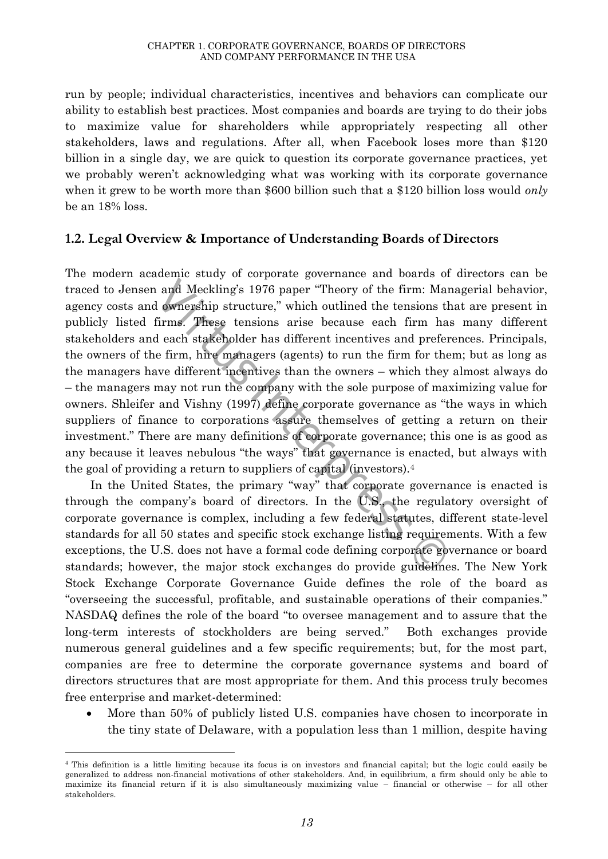run by people; individual characteristics, incentives and behaviors can complicate our ability to establish best practices. Most companies and boards are trying to do their jobs to maximize value for shareholders while appropriately respecting all other stakeholders, laws and regulations. After all, when Facebook loses more than \$120 billion in a single day, we are quick to question its corporate governance practices, yet we probably weren't acknowledging what was working with its corporate governance when it grew to be worth more than \$600 billion such that a \$120 billion loss would *only*  be an 18% loss.

## **1.2. Legal Overview & Importance of Understanding Boards of Directors**

and Meckling's 1976 paper "Theory of the firm: Ma ownership structure," which outlined the tensions firms. These tensions arise because each firm had each stakeholder has different incentives and preferent in the energy ( The modern academic study of corporate governance and boards of directors can be traced to Jensen and Meckling's 1976 paper "Theory of the firm: Managerial behavior, agency costs and ownership structure," which outlined the tensions that are present in publicly listed firms. These tensions arise because each firm has many different stakeholders and each stakeholder has different incentives and preferences. Principals, the owners of the firm, hire managers (agents) to run the firm for them; but as long as the managers have different incentives than the owners – which they almost always do – the managers may not run the company with the sole purpose of maximizing value for owners. Shleifer and Vishny (1997) define corporate governance as "the ways in which suppliers of finance to corporations assure themselves of getting a return on their investment." There are many definitions of corporate governance; this one is as good as any because it leaves nebulous "the ways" that governance is enacted, but always with the goal of providing a return to suppliers of capital (investors).<sup>4</sup>

In the United States, the primary "way" that corporate governance is enacted is through the company's board of directors. In the U.S., the regulatory oversight of corporate governance is complex, including a few federal statutes, different state-level standards for all 50 states and specific stock exchange listing requirements. With a few exceptions, the U.S. does not have a formal code defining corporate governance or board standards; however, the major stock exchanges do provide guidelines. The New York Stock Exchange Corporate Governance Guide defines the role of the board as "overseeing the successful, profitable, and sustainable operations of their companies." NASDAQ defines the role of the board "to oversee management and to assure that the long-term interests of stockholders are being served." Both exchanges provide numerous general guidelines and a few specific requirements; but, for the most part, companies are free to determine the corporate governance systems and board of directors structures that are most appropriate for them. And this process truly becomes free enterprise and market-determined:

 More than 50% of publicly listed U.S. companies have chosen to incorporate in the tiny state of Delaware, with a population less than 1 million, despite having

 $\overline{a}$ 

<sup>4</sup> This definition is a little limiting because its focus is on investors and financial capital; but the logic could easily be generalized to address non-financial motivations of other stakeholders. And, in equilibrium, a firm should only be able to maximize its financial return if it is also simultaneously maximizing value – financial or otherwise – for all other stakeholders.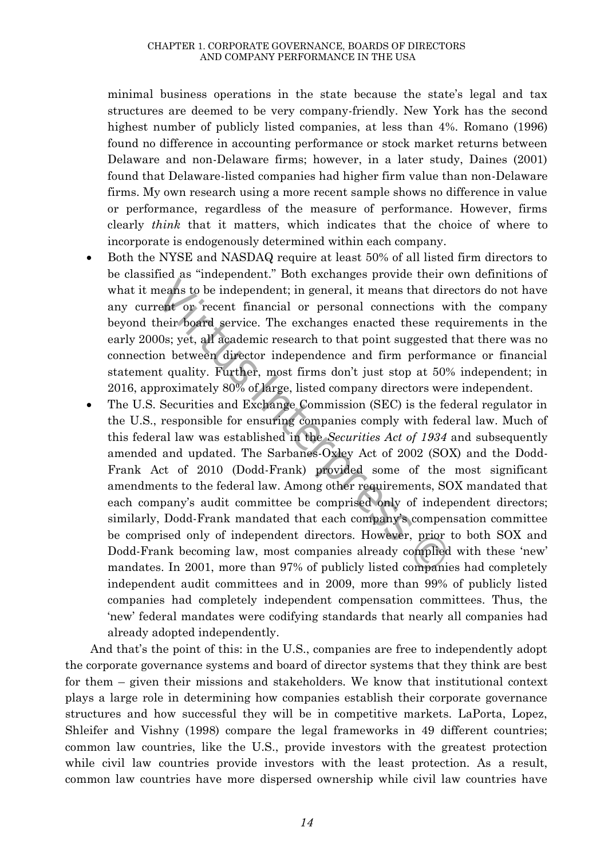minimal business operations in the state because the state's legal and tax structures are deemed to be very company-friendly. New York has the second highest number of publicly listed companies, at less than 4%. Romano (1996) found no difference in accounting performance or stock market returns between Delaware and non-Delaware firms; however, in a later study, Daines (2001) found that Delaware-listed companies had higher firm value than non-Delaware firms. My own research using a more recent sample shows no difference in value or performance, regardless of the measure of performance. However, firms clearly *think* that it matters, which indicates that the choice of where to incorporate is endogenously determined within each company.

- Both the NYSE and NASDAQ require at least 50% of all listed firm directors to be classified as "independent." Both exchanges provide their own definitions of what it means to be independent; in general, it means that directors do not have any current or recent financial or personal connections with the company beyond their board service. The exchanges enacted these requirements in the early 2000s; yet, all academic research to that point suggested that there was no connection between director independence and firm performance or financial statement quality. Further, most firms don't just stop at 50% independent; in 2016, approximately 80% of large, listed company directors were independent.
- means to be independent; in general, it means that divent or recent financial or personal connections vechiev board service. The exchanges enacted these re 00s; yet, all academic research to that point suggested on between The U.S. Securities and Exchange Commission (SEC) is the federal regulator in the U.S., responsible for ensuring companies comply with federal law. Much of this federal law was established in the *Securities Act of 1934* and subsequently amended and updated. The Sarbanes-Oxley Act of 2002 (SOX) and the Dodd-Frank Act of 2010 (Dodd-Frank) provided some of the most significant amendments to the federal law. Among other requirements, SOX mandated that each company's audit committee be comprised only of independent directors; similarly, Dodd-Frank mandated that each company's compensation committee be comprised only of independent directors. However, prior to both SOX and Dodd-Frank becoming law, most companies already complied with these 'new' mandates. In 2001, more than 97% of publicly listed companies had completely independent audit committees and in 2009, more than 99% of publicly listed companies had completely independent compensation committees. Thus, the 'new' federal mandates were codifying standards that nearly all companies had already adopted independently.

And that's the point of this: in the U.S., companies are free to independently adopt the corporate governance systems and board of director systems that they think are best for them – given their missions and stakeholders. We know that institutional context plays a large role in determining how companies establish their corporate governance structures and how successful they will be in competitive markets. LaPorta, Lopez, Shleifer and Vishny (1998) compare the legal frameworks in 49 different countries; common law countries, like the U.S., provide investors with the greatest protection while civil law countries provide investors with the least protection. As a result, common law countries have more dispersed ownership while civil law countries have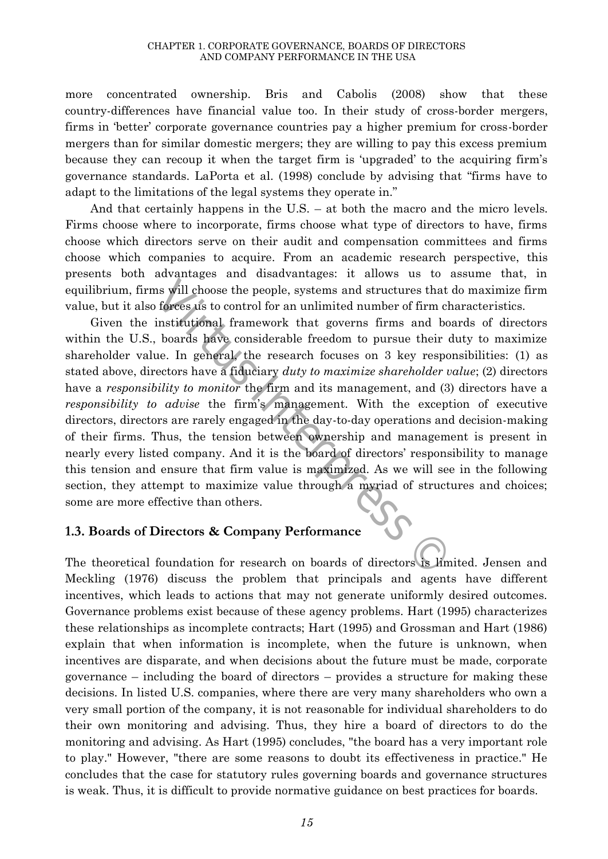more concentrated ownership. Bris and Cabolis (2008) show that these country-differences have financial value too. In their study of cross-border mergers, firms in 'better' corporate governance countries pay a higher premium for cross-border mergers than for similar domestic mergers; they are willing to pay this excess premium because they can recoup it when the target firm is 'upgraded' to the acquiring firm's governance standards. LaPorta et al. (1998) conclude by advising that "firms have to adapt to the limitations of the legal systems they operate in."

And that certainly happens in the U.S. – at both the macro and the micro levels. Firms choose where to incorporate, firms choose what type of directors to have, firms choose which directors serve on their audit and compensation committees and firms choose which companies to acquire. From an academic research perspective, this presents both advantages and disadvantages: it allows us to assume that, in equilibrium, firms will choose the people, systems and structures that do maximize firm value, but it also forces us to control for an unlimited number of firm characteristics.

In those the people, systems and structures that<br>there is to control for an unlimited number of firm c<br>institutional framework that governs firms and b<br>boards have considerable freedom to pursue their<br>u.e. In general, the Given the institutional framework that governs firms and boards of directors within the U.S., boards have considerable freedom to pursue their duty to maximize shareholder value. In general, the research focuses on 3 key responsibilities: (1) as stated above, directors have a fiduciary *duty to maximize shareholder value*; (2) directors have a *responsibility to monitor* the firm and its management, and (3) directors have a *responsibility to advise* the firm's management. With the exception of executive directors, directors are rarely engaged in the day-to-day operations and decision-making of their firms. Thus, the tension between ownership and management is present in nearly every listed company. And it is the board of directors' responsibility to manage this tension and ensure that firm value is maximized. As we will see in the following section, they attempt to maximize value through a myriad of structures and choices; some are more effective than others.

#### **1.3. Boards of Directors & Company Performance**

The theoretical foundation for research on boards of directors is limited. Jensen and Meckling (1976) discuss the problem that principals and agents have different incentives, which leads to actions that may not generate uniformly desired outcomes. Governance problems exist because of these agency problems. Hart (1995) characterizes these relationships as incomplete contracts; Hart (1995) and Grossman and Hart (1986) explain that when information is incomplete, when the future is unknown, when incentives are disparate, and when decisions about the future must be made, corporate governance – including the board of directors – provides a structure for making these decisions. In listed U.S. companies, where there are very many shareholders who own a very small portion of the company, it is not reasonable for individual shareholders to do their own monitoring and advising. Thus, they hire a board of directors to do the monitoring and advising. As Hart (1995) concludes, "the board has a very important role to play." However, "there are some reasons to doubt its effectiveness in practice." He concludes that the case for statutory rules governing boards and governance structures is weak. Thus, it is difficult to provide normative guidance on best practices for boards.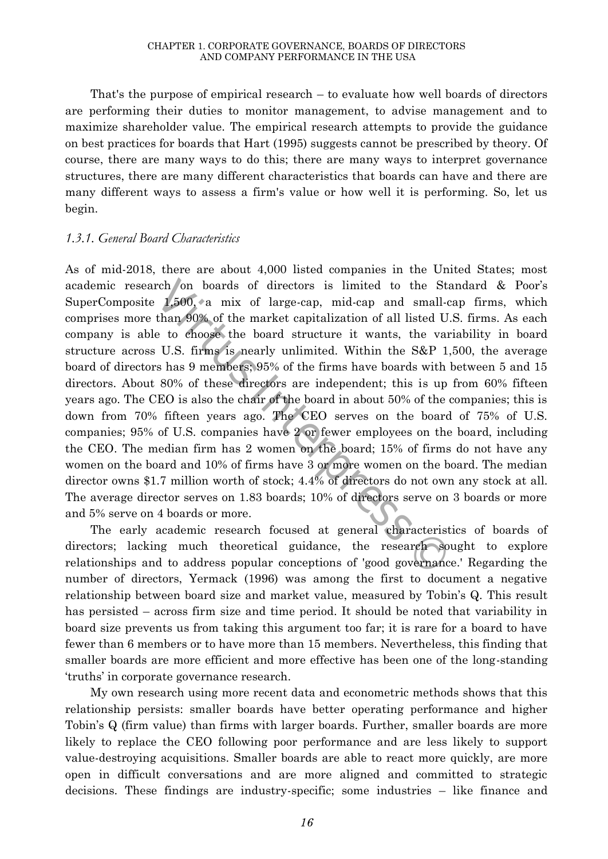That's the purpose of empirical research – to evaluate how well boards of directors are performing their duties to monitor management, to advise management and to maximize shareholder value. The empirical research attempts to provide the guidance on best practices for boards that Hart (1995) suggests cannot be prescribed by theory. Of course, there are many ways to do this; there are many ways to interpret governance structures, there are many different characteristics that boards can have and there are many different ways to assess a firm's value or how well it is performing. So, let us begin.

#### *1.3.1. General Board Characteristics*

rch on boards of directors is limited to the St 1,500, a mix of large-cap, mid-cap and small-<br>than 90% of the market capitalization of all listed U<br>e to choose the board structure it wants, the va<br>U.S. firms is nearly unl As of mid-2018, there are about 4,000 listed companies in the United States; most academic research on boards of directors is limited to the Standard & Poor's SuperComposite 1,500, a mix of large-cap, mid-cap and small-cap firms, which comprises more than 90% of the market capitalization of all listed U.S. firms. As each company is able to choose the board structure it wants, the variability in board structure across U.S. firms is nearly unlimited. Within the S&P 1,500, the average board of directors has 9 members; 95% of the firms have boards with between 5 and 15 directors. About 80% of these directors are independent; this is up from 60% fifteen years ago. The CEO is also the chair of the board in about 50% of the companies; this is down from 70% fifteen years ago. The CEO serves on the board of 75% of U.S. companies; 95% of U.S. companies have 2 or fewer employees on the board, including the CEO. The median firm has 2 women on the board; 15% of firms do not have any women on the board and 10% of firms have 3 or more women on the board. The median director owns \$1.7 million worth of stock; 4.4% of directors do not own any stock at all. The average director serves on 1.83 boards; 10% of directors serve on 3 boards or more and 5% serve on 4 boards or more.

The early academic research focused at general characteristics of boards of directors; lacking much theoretical guidance, the research sought to explore relationships and to address popular conceptions of 'good governance.' Regarding the number of directors, Yermack (1996) was among the first to document a negative relationship between board size and market value, measured by Tobin's Q. This result has persisted – across firm size and time period. It should be noted that variability in board size prevents us from taking this argument too far; it is rare for a board to have fewer than 6 members or to have more than 15 members. Nevertheless, this finding that smaller boards are more efficient and more effective has been one of the long-standing 'truths' in corporate governance research.

My own research using more recent data and econometric methods shows that this relationship persists: smaller boards have better operating performance and higher Tobin's Q (firm value) than firms with larger boards. Further, smaller boards are more likely to replace the CEO following poor performance and are less likely to support value-destroying acquisitions. Smaller boards are able to react more quickly, are more open in difficult conversations and are more aligned and committed to strategic decisions. These findings are industry-specific; some industries – like finance and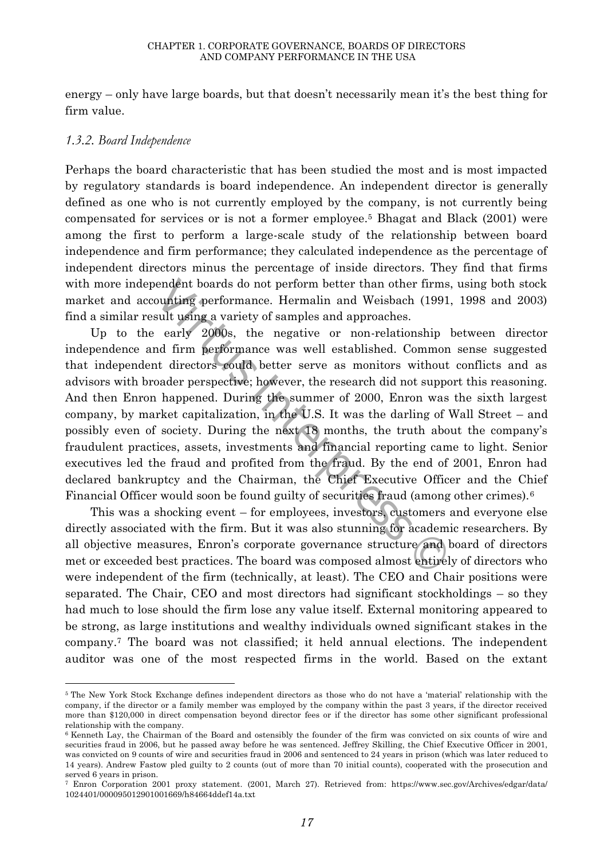energy – only have large boards, but that doesn't necessarily mean it's the best thing for firm value.

#### *1.3.2. Board Independence*

 $\overline{a}$ 

Perhaps the board characteristic that has been studied the most and is most impacted by regulatory standards is board independence. An independent director is generally defined as one who is not currently employed by the company, is not currently being compensated for services or is not a former employee.<sup>5</sup> Bhagat and Black (2001) were among the first to perform a large-scale study of the relationship between board independence and firm performance; they calculated independence as the percentage of independent directors minus the percentage of inside directors. They find that firms with more independent boards do not perform better than other firms, using both stock market and accounting performance. Hermalin and Weisbach (1991, 1998 and 2003) find a similar result using a variety of samples and approaches.

endent boards do not perform better than other firms<br>counting performance. Hermalin and Weisbach (1991<br>sult using a variety of samples and approaches.<br>early 2000s, the negative or non-relationship<br>nd firm performance was w Up to the early 2000s, the negative or non-relationship between director independence and firm performance was well established. Common sense suggested that independent directors could better serve as monitors without conflicts and as advisors with broader perspective; however, the research did not support this reasoning. And then Enron happened. During the summer of 2000, Enron was the sixth largest company, by market capitalization, in the U.S. It was the darling of Wall Street – and possibly even of society. During the next 18 months, the truth about the company's fraudulent practices, assets, investments and financial reporting came to light. Senior executives led the fraud and profited from the fraud. By the end of 2001, Enron had declared bankruptcy and the Chairman, the Chief Executive Officer and the Chief Financial Officer would soon be found guilty of securities fraud (among other crimes).<sup>6</sup>

This was a shocking event – for employees, investors, customers and everyone else directly associated with the firm. But it was also stunning for academic researchers. By all objective measures, Enron's corporate governance structure and board of directors met or exceeded best practices. The board was composed almost entirely of directors who were independent of the firm (technically, at least). The CEO and Chair positions were separated. The Chair, CEO and most directors had significant stockholdings – so they had much to lose should the firm lose any value itself. External monitoring appeared to be strong, as large institutions and wealthy individuals owned significant stakes in the company.<sup>7</sup> The board was not classified; it held annual elections. The independent auditor was one of the most respected firms in the world. Based on the extant

<sup>5</sup> The New York Stock Exchange defines independent directors as those who do not have a 'material' relationship with the company, if the director or a family member was employed by the company within the past 3 years, if the director received more than \$120,000 in direct compensation beyond director fees or if the director has some other significant professional relationship with the company.

<sup>&</sup>lt;sup>6</sup> Kenneth Lay, the Chairman of the Board and ostensibly the founder of the firm was convicted on six counts of wire and securities fraud in 2006, but he passed away before he was sentenced. Jeffrey Skilling, the Chief Executive Officer in 2001, was convicted on 9 counts of wire and securities fraud in 2006 and sentenced to 24 years in prison (which was later reduced to 14 years). Andrew Fastow pled guilty to 2 counts (out of more than 70 initial counts), cooperated with the prosecution and served 6 years in prison.

<sup>7</sup> Enron Corporation 2001 proxy statement. (2001, March 27). Retrieved from: [https://www.sec.gov/Archives/edgar/data/](https://www.sec.gov/Archives/edgar/data/%201024401/000095012901001669/h84664ddef14a.txt)  [1024401/000095012901001669/h84664ddef14a.txt](https://www.sec.gov/Archives/edgar/data/%201024401/000095012901001669/h84664ddef14a.txt)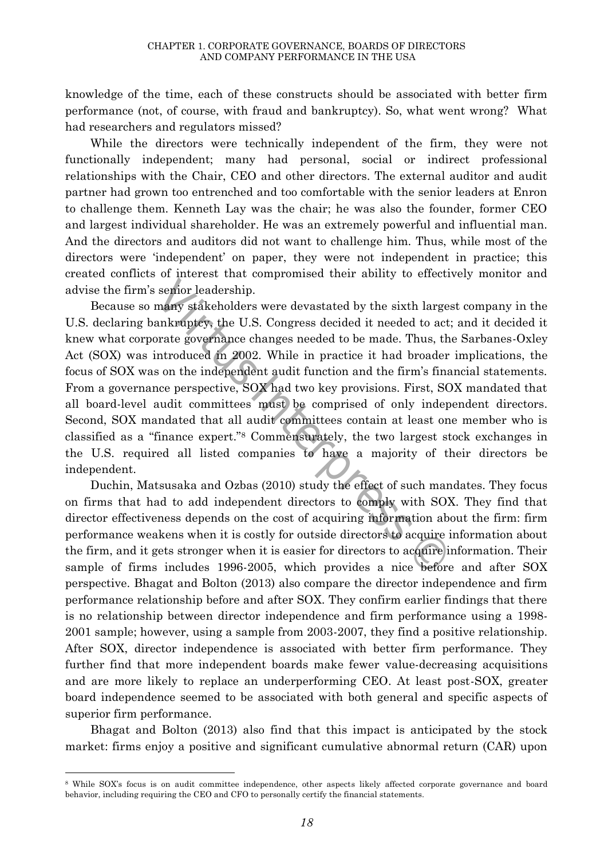knowledge of the time, each of these constructs should be associated with better firm performance (not, of course, with fraud and bankruptcy). So, what went wrong? What had researchers and regulators missed?

While the directors were technically independent of the firm, they were not functionally independent; many had personal, social or indirect professional relationships with the Chair, CEO and other directors. The external auditor and audit partner had grown too entrenched and too comfortable with the senior leaders at Enron to challenge them. Kenneth Lay was the chair; he was also the founder, former CEO and largest individual shareholder. He was an extremely powerful and influential man. And the directors and auditors did not want to challenge him. Thus, while most of the directors were 'independent' on paper, they were not independent in practice; this created conflicts of interest that compromised their ability to effectively monitor and advise the firm's senior leadership.

senior leadership.<br>
many stakeholders were devastated by the sixth large ankraptcy, the U.S. Congress decided it needed to accorate governance changes needed to be made. Thus, the introduced in 2002. While in practice it h Because so many stakeholders were devastated by the sixth largest company in the U.S. declaring bankruptcy, the U.S. Congress decided it needed to act; and it decided it knew what corporate governance changes needed to be made. Thus, the Sarbanes-Oxley Act (SOX) was introduced in 2002. While in practice it had broader implications, the focus of SOX was on the independent audit function and the firm's financial statements. From a governance perspective, SOX had two key provisions. First, SOX mandated that all board-level audit committees must be comprised of only independent directors. Second, SOX mandated that all audit committees contain at least one member who is classified as a "finance expert."<sup>8</sup> Commensurately, the two largest stock exchanges in the U.S. required all listed companies to have a majority of their directors be independent.

Duchin, Matsusaka and Ozbas (2010) study the effect of such mandates. They focus on firms that had to add independent directors to comply with SOX. They find that director effectiveness depends on the cost of acquiring information about the firm: firm performance weakens when it is costly for outside directors to acquire information about the firm, and it gets stronger when it is easier for directors to acquire information. Their sample of firms includes 1996-2005, which provides a nice before and after SOX perspective. Bhagat and Bolton (2013) also compare the director independence and firm performance relationship before and after SOX. They confirm earlier findings that there is no relationship between director independence and firm performance using a 1998- 2001 sample; however, using a sample from 2003-2007, they find a positive relationship. After SOX, director independence is associated with better firm performance. They further find that more independent boards make fewer value-decreasing acquisitions and are more likely to replace an underperforming CEO. At least post-SOX, greater board independence seemed to be associated with both general and specific aspects of superior firm performance.

Bhagat and Bolton (2013) also find that this impact is anticipated by the stock market: firms enjoy a positive and significant cumulative abnormal return (CAR) upon

 $\overline{a}$ 

<sup>&</sup>lt;sup>8</sup> While SOX's focus is on audit committee independence, other aspects likely affected corporate governance and board behavior, including requiring the CEO and CFO to personally certify the financial statements.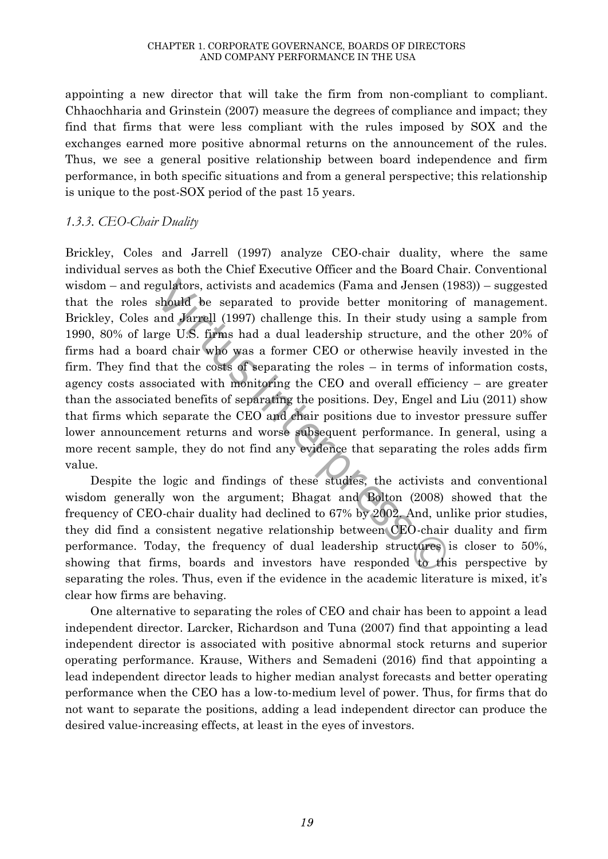appointing a new director that will take the firm from non-compliant to compliant. Chhaochharia and Grinstein (2007) measure the degrees of compliance and impact; they find that firms that were less compliant with the rules imposed by SOX and the exchanges earned more positive abnormal returns on the announcement of the rules. Thus, we see a general positive relationship between board independence and firm performance, in both specific situations and from a general perspective; this relationship is unique to the post-SOX period of the past 15 years.

# *1.3.3. CEO-Chair Duality*

gulators, activists and academics (Fama and Jensen (should be separated to provide better monitoring<br>and Jarrell (1997) challenge this. In their study usi<br>rge U.S. firms had a dual leadership structure, and<br>rd chair who wa Brickley, Coles and Jarrell (1997) analyze CEO-chair duality, where the same individual serves as both the Chief Executive Officer and the Board Chair. Conventional wisdom – and regulators, activists and academics (Fama and Jensen (1983)) – suggested that the roles should be separated to provide better monitoring of management. Brickley, Coles and Jarrell (1997) challenge this. In their study using a sample from 1990, 80% of large U.S. firms had a dual leadership structure, and the other 20% of firms had a board chair who was a former CEO or otherwise heavily invested in the firm. They find that the costs of separating the roles – in terms of information costs, agency costs associated with monitoring the CEO and overall efficiency – are greater than the associated benefits of separating the positions. Dey, Engel and Liu (2011) show that firms which separate the CEO and chair positions due to investor pressure suffer lower announcement returns and worse subsequent performance. In general, using a more recent sample, they do not find any evidence that separating the roles adds firm value.

Despite the logic and findings of these studies, the activists and conventional wisdom generally won the argument; Bhagat and Bolton (2008) showed that the frequency of CEO-chair duality had declined to 67% by 2002. And, unlike prior studies, they did find a consistent negative relationship between CEO-chair duality and firm performance. Today, the frequency of dual leadership structures is closer to 50%, showing that firms, boards and investors have responded to this perspective by separating the roles. Thus, even if the evidence in the academic literature is mixed, it's clear how firms are behaving.

One alternative to separating the roles of CEO and chair has been to appoint a lead independent director. Larcker, Richardson and Tuna (2007) find that appointing a lead independent director is associated with positive abnormal stock returns and superior operating performance. Krause, Withers and Semadeni (2016) find that appointing a lead independent director leads to higher median analyst forecasts and better operating performance when the CEO has a low-to-medium level of power. Thus, for firms that do not want to separate the positions, adding a lead independent director can produce the desired value-increasing effects, at least in the eyes of investors.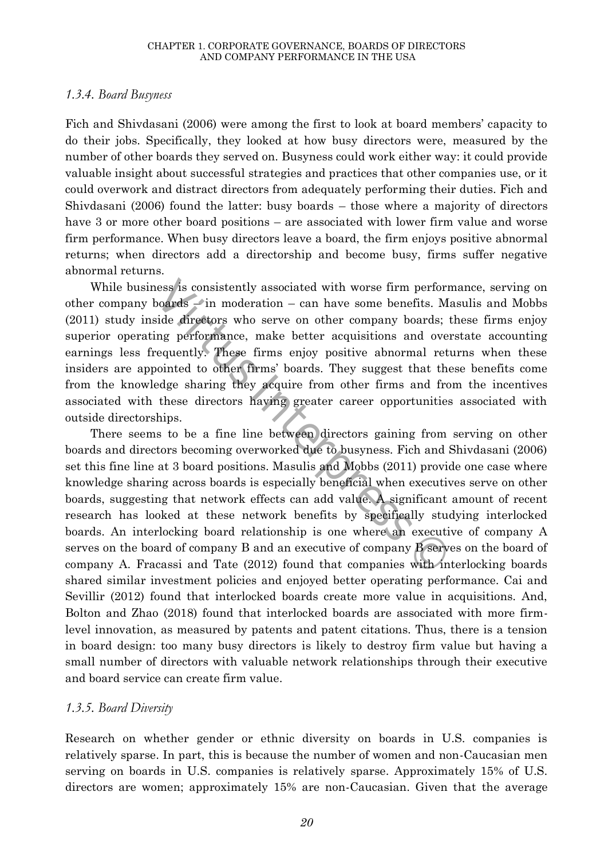#### *1.3.4. Board Busyness*

Fich and Shivdasani (2006) were among the first to look at board members' capacity to do their jobs. Specifically, they looked at how busy directors were, measured by the number of other boards they served on. Busyness could work either way: it could provide valuable insight about successful strategies and practices that other companies use, or it could overwork and distract directors from adequately performing their duties. Fich and Shivdasani (2006) found the latter: busy boards – those where a majority of directors have 3 or more other board positions – are associated with lower firm value and worse firm performance. When busy directors leave a board, the firm enjoys positive abnormal returns; when directors add a directorship and become busy, firms suffer negative abnormal returns.

ness is consistently associated with worse firm perfor<br>boards – in moderation – can have some benefits. Note directors who serve on other company boards;<br>ing performance, make better acquisitions and over<br>equently. These f While business is consistently associated with worse firm performance, serving on other company boards  $\rightarrow$  in moderation – can have some benefits. Masulis and Mobbs (2011) study inside directors who serve on other company boards; these firms enjoy superior operating performance, make better acquisitions and overstate accounting earnings less frequently. These firms enjoy positive abnormal returns when these insiders are appointed to other firms' boards. They suggest that these benefits come from the knowledge sharing they acquire from other firms and from the incentives associated with these directors having greater career opportunities associated with outside directorships.

There seems to be a fine line between directors gaining from serving on other boards and directors becoming overworked due to busyness. Fich and Shivdasani (2006) set this fine line at 3 board positions. Masulis and Mobbs (2011) provide one case where knowledge sharing across boards is especially beneficial when executives serve on other boards, suggesting that network effects can add value. A significant amount of recent research has looked at these network benefits by specifically studying interlocked boards. An interlocking board relationship is one where an executive of company A serves on the board of company B and an executive of company B serves on the board of company A. Fracassi and Tate (2012) found that companies with interlocking boards shared similar investment policies and enjoyed better operating performance. Cai and Sevillir (2012) found that interlocked boards create more value in acquisitions. And, Bolton and Zhao (2018) found that interlocked boards are associated with more firmlevel innovation, as measured by patents and patent citations. Thus, there is a tension in board design: too many busy directors is likely to destroy firm value but having a small number of directors with valuable network relationships through their executive and board service can create firm value.

#### *1.3.5. Board Diversity*

Research on whether gender or ethnic diversity on boards in U.S. companies is relatively sparse. In part, this is because the number of women and non-Caucasian men serving on boards in U.S. companies is relatively sparse. Approximately 15% of U.S. directors are women; approximately 15% are non-Caucasian. Given that the average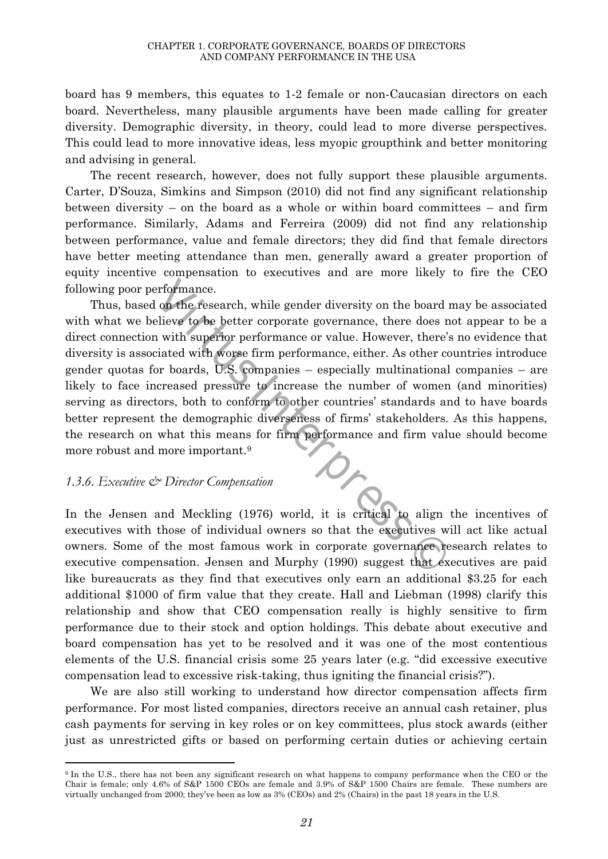board has 9 members, this equates to 1-2 female or non-Caucasian directors on each board. Nevertheless, many plausible arguments have been made calling for greater diversity. Demographic diversity, in theory, could lead to more diverse perspectives. This could lead to more innovative ideas, less myopic groupthink and better monitoring and advising in general.

The recent research, however, does not fully support these plausible arguments. Carter, D'Souza, Simkins and Simpson (2010) did not find any significant relationship between diversity – on the board as a whole or within board committees – and firm performance. Similarly, Adams and Ferreira (2009) did not find any relationship between performance, value and female directors; they did find that female directors have better meeting attendance than men, generally award a greater proportion of equity incentive compensation to executives and are more likely to fire the CEO following poor performance.

experience.<br>
interformance.<br>
in the research, while gender diversity on the board<br>
elieve to be better corporate governance, there does in<br>
in with superior performance or value. However, there<br>
intered with worse firm per Thus, based on the research, while gender diversity on the board may be associated with what we believe to be better corporate governance, there does not appear to be a direct connection with superior performance or value. However, there's no evidence that diversity is associated with worse firm performance, either. As other countries introduce gender quotas for boards, U.S. companies – especially multinational companies – are likely to face increased pressure to increase the number of women (and minorities) serving as directors, both to conform to other countries' standards and to have boards better represent the demographic diverseness of firms' stakeholders. As this happens, the research on what this means for firm performance and firm value should become more robust and more important.<sup>9</sup>

#### *1.3.6. Executive & Director Compensation*

 $\ddot{\phantom{a}}$ 

In the Jensen and Meckling (1976) world, it is critical to align the incentives of executives with those of individual owners so that the executives will act like actual owners. Some of the most famous work in corporate governance research relates to executive compensation. Jensen and Murphy (1990) suggest that executives are paid like bureaucrats as they find that executives only earn an additional \$3.25 for each additional \$1000 of firm value that they create. Hall and Liebman (1998) clarify this relationship and show that CEO compensation really is highly sensitive to firm performance due to their stock and option holdings. This debate about executive and board compensation has yet to be resolved and it was one of the most contentious elements of the U.S. financial crisis some 25 years later (e.g. "did excessive executive compensation lead to excessive risk-taking, thus igniting the financial crisis?").

We are also still working to understand how director compensation affects firm performance. For most listed companies, directors receive an annual cash retainer, plus cash payments for serving in key roles or on key committees, plus stock awards (either just as unrestricted gifts or based on performing certain duties or achieving certain

<sup>9</sup> In the U.S., there has not been any significant research on what happens to company performance when the CEO or the Chair is female; only 4.6% of S&P 1500 CEOs are female and 3.9% of S&P 1500 Chairs are female. These numbers are virtually unchanged from 2000; they've been as low as 3% (CEOs) and 2% (Chairs) in the past 18 years in the U.S.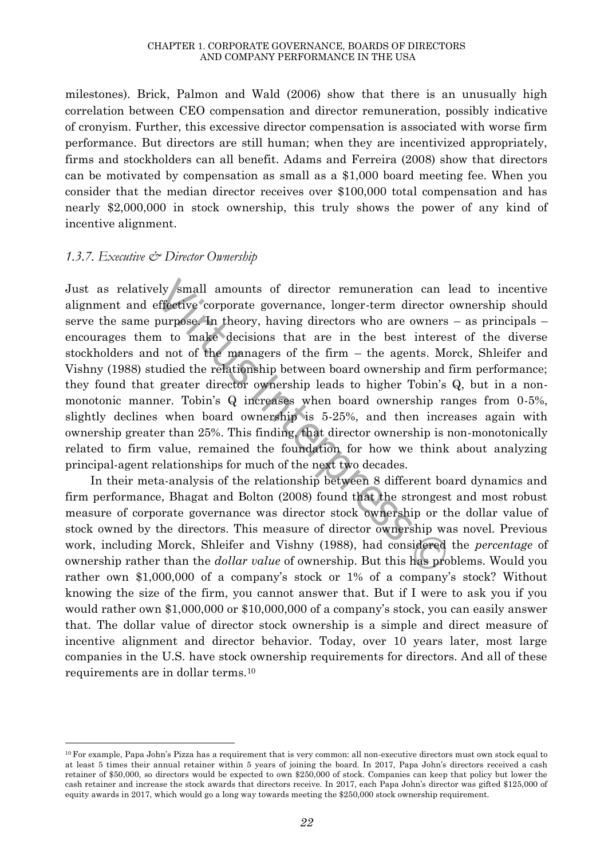milestones). Brick, Palmon and Wald (2006) show that there is an unusually high correlation between CEO compensation and director remuneration, possibly indicative of cronyism. Further, this excessive director compensation is associated with worse firm performance. But directors are still human; when they are incentivized appropriately, firms and stockholders can all benefit. Adams and Ferreira (2008) show that directors can be motivated by compensation as small as a \$1,000 board meeting fee. When you consider that the median director receives over \$100,000 total compensation and has nearly \$2,000,000 in stock ownership, this truly shows the power of any kind of incentive alignment.

#### *1.3.7. Executive & Director Ownership*

 $\ddot{\phantom{a}}$ 

ely small amounts of director remuneration can<br>effective corporate governance, longer-term director<br>purpose In theory, having directors who are owners<br>m to make decisions that are in the best intered<br>a not of the managers Just as relatively small amounts of director remuneration can lead to incentive alignment and effective corporate governance, longer-term director ownership should serve the same purpose. In theory, having directors who are owners – as principals – encourages them to make decisions that are in the best interest of the diverse stockholders and not of the managers of the firm – the agents. Morck, Shleifer and Vishny (1988) studied the relationship between board ownership and firm performance; they found that greater director ownership leads to higher Tobin's Q, but in a nonmonotonic manner. Tobin's Q increases when board ownership ranges from 0-5%, slightly declines when board ownership is 5-25%, and then increases again with ownership greater than 25%. This finding, that director ownership is non-monotonically related to firm value, remained the foundation for how we think about analyzing principal-agent relationships for much of the next two decades.

In their meta-analysis of the relationship between 8 different board dynamics and firm performance, Bhagat and Bolton (2008) found that the strongest and most robust measure of corporate governance was director stock ownership or the dollar value of stock owned by the directors. This measure of director ownership was novel. Previous work, including Morck, Shleifer and Vishny (1988), had considered the *percentage* of ownership rather than the *dollar value* of ownership. But this has problems. Would you rather own \$1,000,000 of a company's stock or 1% of a company's stock? Without knowing the size of the firm, you cannot answer that. But if I were to ask you if you would rather own \$1,000,000 or \$10,000,000 of a company's stock, you can easily answer that. The dollar value of director stock ownership is a simple and direct measure of incentive alignment and director behavior. Today, over 10 years later, most large companies in the U.S. have stock ownership requirements for directors. And all of these requirements are in dollar terms.<sup>10</sup>

<sup>10</sup> For example, Papa John's Pizza has a requirement that is very common: all non-executive directors must own stock equal to at least 5 times their annual retainer within 5 years of joining the board. In 2017, Papa John's directors received a cash retainer of \$50,000, so directors would be expected to own \$250,000 of stock. Companies can keep that policy but lower the cash retainer and increase the stock awards that directors receive. In 2017, each Papa John's director was gifted \$125,000 of equity awards in 2017, which would go a long way towards meeting the \$250,000 stock ownership requirement.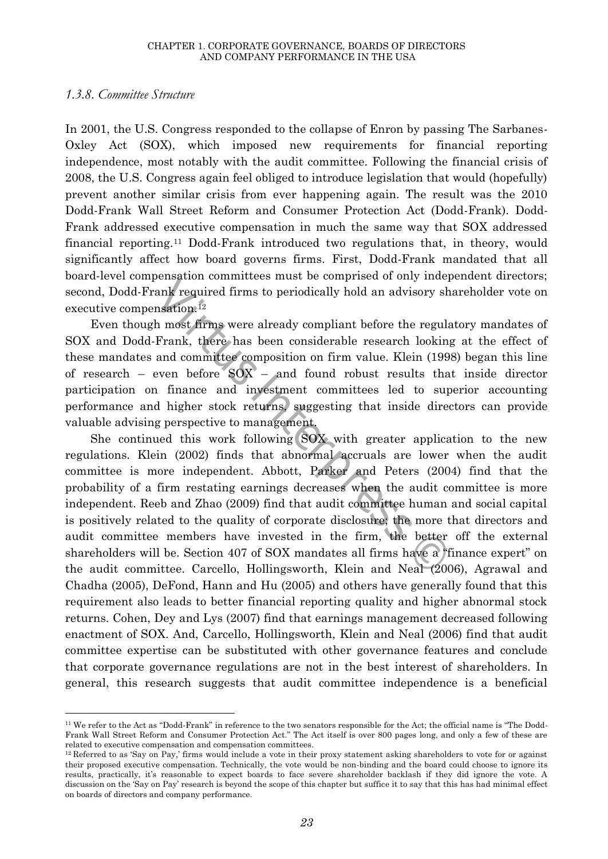#### *1.3.8. Committee Structure*

 $\ddot{\phantom{a}}$ 

In 2001, the U.S. Congress responded to the collapse of Enron by passing The Sarbanes-Oxley Act (SOX), which imposed new requirements for financial reporting independence, most notably with the audit committee. Following the financial crisis of 2008, the U.S. Congress again feel obliged to introduce legislation that would (hopefully) prevent another similar crisis from ever happening again. The result was the 2010 Dodd-Frank Wall Street Reform and Consumer Protection Act (Dodd-Frank). Dodd-Frank addressed executive compensation in much the same way that SOX addressed financial reporting.<sup>11</sup> Dodd-Frank introduced two regulations that, in theory, would significantly affect how board governs firms. First, Dodd-Frank mandated that all board-level compensation committees must be comprised of only independent directors; second, Dodd-Frank required firms to periodically hold an advisory shareholder vote on executive compensation.<sup>12</sup>

Even though most firms were already compliant before the regulatory mandates of SOX and Dodd-Frank, there has been considerable research looking at the effect of these mandates and committee composition on firm value. Klein (1998) began this line of research – even before  $SOX$  – and found robust results that inside director participation on finance and investment committees led to superior accounting performance and higher stock returns, suggesting that inside directors can provide valuable advising perspective to management.

Solution committees mast se empthed of only indeed and required firms to periodically hold an advisory shall frame.<sup>12</sup> h most firms were already compliant before the regulement, there has been considerable research looki She continued this work following SOX with greater application to the new regulations. Klein (2002) finds that abnormal accruals are lower when the audit committee is more independent. Abbott, Parker and Peters (2004) find that the probability of a firm restating earnings decreases when the audit committee is more independent. Reeb and Zhao (2009) find that audit committee human and social capital is positively related to the quality of corporate disclosure; the more that directors and audit committee members have invested in the firm, the better off the external shareholders will be. Section 407 of SOX mandates all firms have a "finance expert" on the audit committee. Carcello, Hollingsworth, Klein and Neal (2006), Agrawal and Chadha (2005), DeFond, Hann and Hu (2005) and others have generally found that this requirement also leads to better financial reporting quality and higher abnormal stock returns. Cohen, Dey and Lys (2007) find that earnings management decreased following enactment of SOX. And, Carcello, Hollingsworth, Klein and Neal (2006) find that audit committee expertise can be substituted with other governance features and conclude that corporate governance regulations are not in the best interest of shareholders. In general, this research suggests that audit committee independence is a beneficial

<sup>11</sup> We refer to the Act as "Dodd-Frank" in reference to the two senators responsible for the Act; the official name is "The Dodd-Frank Wall Street Reform and Consumer Protection Act." The Act itself is over 800 pages long, and only a few of these are related to executive compensation and compensation committees.

<sup>12</sup> Referred to as 'Say on Pay,' firms would include a vote in their proxy statement asking shareholders to vote for or against their proposed executive compensation. Technically, the vote would be non-binding and the board could choose to ignore its results, practically, it's reasonable to expect boards to face severe shareholder backlash if they did ignore the vote. A discussion on the 'Say on Pay' research is beyond the scope of this chapter but suffice it to say that this has had minimal effect on boards of directors and company performance.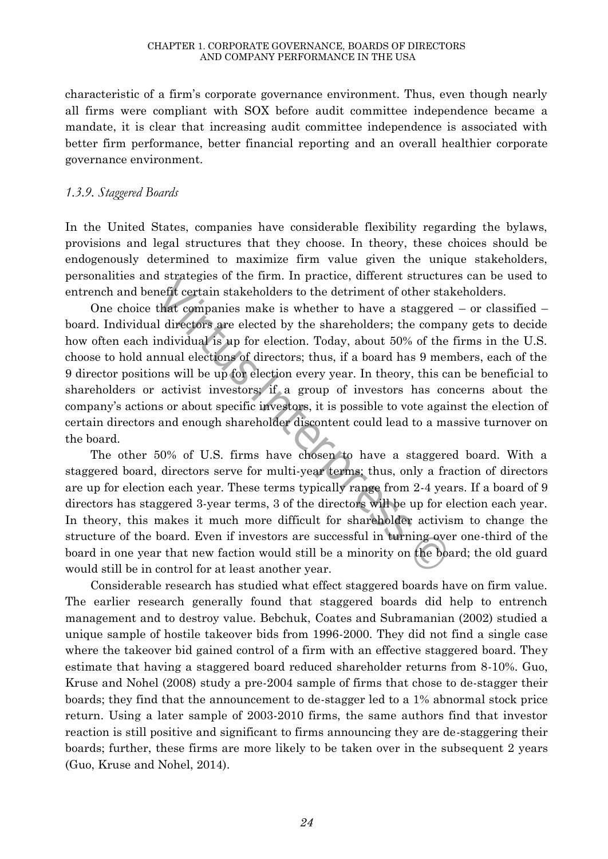characteristic of a firm's corporate governance environment. Thus, even though nearly all firms were compliant with SOX before audit committee independence became a mandate, it is clear that increasing audit committee independence is associated with better firm performance, better financial reporting and an overall healthier corporate governance environment.

## *1.3.9. Staggered Boards*

In the United States, companies have considerable flexibility regarding the bylaws, provisions and legal structures that they choose. In theory, these choices should be endogenously determined to maximize firm value given the unique stakeholders, personalities and strategies of the firm. In practice, different structures can be used to entrench and benefit certain stakeholders to the detriment of other stakeholders.

net in the detriment of other states of the detriment of the state of the detriment of other state of the state original directors are elected by the shareholders; the complidividual is up for election. Today, about 50% of One choice that companies make is whether to have a staggered – or classified – board. Individual directors are elected by the shareholders; the company gets to decide how often each individual is up for election. Today, about 50% of the firms in the U.S. choose to hold annual elections of directors; thus, if a board has 9 members, each of the 9 director positions will be up for election every year. In theory, this can be beneficial to shareholders or activist investors; if a group of investors has concerns about the company's actions or about specific investors, it is possible to vote against the election of certain directors and enough shareholder discontent could lead to a massive turnover on the board.

The other 50% of U.S. firms have chosen to have a staggered board. With a staggered board, directors serve for multi-year terms; thus, only a fraction of directors are up for election each year. These terms typically range from 2-4 years. If a board of 9 directors has staggered 3-year terms, 3 of the directors will be up for election each year. In theory, this makes it much more difficult for shareholder activism to change the structure of the board. Even if investors are successful in turning over one-third of the board in one year that new faction would still be a minority on the board; the old guard would still be in control for at least another year.

Considerable research has studied what effect staggered boards have on firm value. The earlier research generally found that staggered boards did help to entrench management and to destroy value. Bebchuk, Coates and Subramanian (2002) studied a unique sample of hostile takeover bids from 1996-2000. They did not find a single case where the takeover bid gained control of a firm with an effective staggered board. They estimate that having a staggered board reduced shareholder returns from 8-10%. Guo, Kruse and Nohel (2008) study a pre-2004 sample of firms that chose to de-stagger their boards; they find that the announcement to de-stagger led to a 1% abnormal stock price return. Using a later sample of 2003-2010 firms, the same authors find that investor reaction is still positive and significant to firms announcing they are de-staggering their boards; further, these firms are more likely to be taken over in the subsequent 2 years (Guo, Kruse and Nohel, 2014).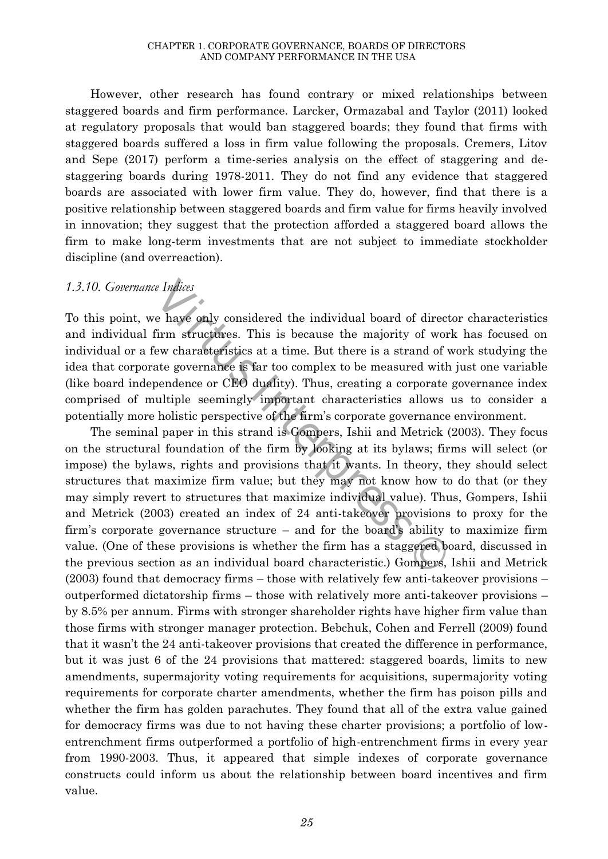However, other research has found contrary or mixed relationships between staggered boards and firm performance. Larcker, Ormazabal and Taylor (2011) looked at regulatory proposals that would ban staggered boards; they found that firms with staggered boards suffered a loss in firm value following the proposals. Cremers, Litov and Sepe (2017) perform a time-series analysis on the effect of staggering and destaggering boards during 1978-2011. They do not find any evidence that staggered boards are associated with lower firm value. They do, however, find that there is a positive relationship between staggered boards and firm value for firms heavily involved in innovation; they suggest that the protection afforded a staggered board allows the firm to make long-term investments that are not subject to immediate stockholder discipline (and overreaction).

#### *1.3.10. Governance Indices*

To this point, we have only considered the individual board of director characteristics and individual firm structures. This is because the majority of work has focused on individual or a few characteristics at a time. But there is a strand of work studying the idea that corporate governance is far too complex to be measured with just one variable (like board independence or CEO duality). Thus, creating a corporate governance index comprised of multiple seemingly important characteristics allows us to consider a potentially more holistic perspective of the firm's corporate governance environment.

e *Indices*<br>e have only considered the individual board of direction<br>firm structures. This is because the majority of wo<br>ew characteristics at a time. But there is a strand of<br>ate governance is far too complex to be measur The seminal paper in this strand is Gompers, Ishii and Metrick (2003). They focus on the structural foundation of the firm by looking at its bylaws; firms will select (or impose) the bylaws, rights and provisions that it wants. In theory, they should select structures that maximize firm value; but they may not know how to do that (or they may simply revert to structures that maximize individual value). Thus, Gompers, Ishii and Metrick (2003) created an index of 24 anti-takeover provisions to proxy for the firm's corporate governance structure – and for the board's ability to maximize firm value. (One of these provisions is whether the firm has a staggered board, discussed in the previous section as an individual board characteristic.) Gompers, Ishii and Metrick (2003) found that democracy firms – those with relatively few anti-takeover provisions – outperformed dictatorship firms – those with relatively more anti-takeover provisions – by 8.5% per annum. Firms with stronger shareholder rights have higher firm value than those firms with stronger manager protection. Bebchuk, Cohen and Ferrell (2009) found that it wasn't the 24 anti-takeover provisions that created the difference in performance, but it was just 6 of the 24 provisions that mattered: staggered boards, limits to new amendments, supermajority voting requirements for acquisitions, supermajority voting requirements for corporate charter amendments, whether the firm has poison pills and whether the firm has golden parachutes. They found that all of the extra value gained for democracy firms was due to not having these charter provisions; a portfolio of lowentrenchment firms outperformed a portfolio of high-entrenchment firms in every year from 1990-2003. Thus, it appeared that simple indexes of corporate governance constructs could inform us about the relationship between board incentives and firm value.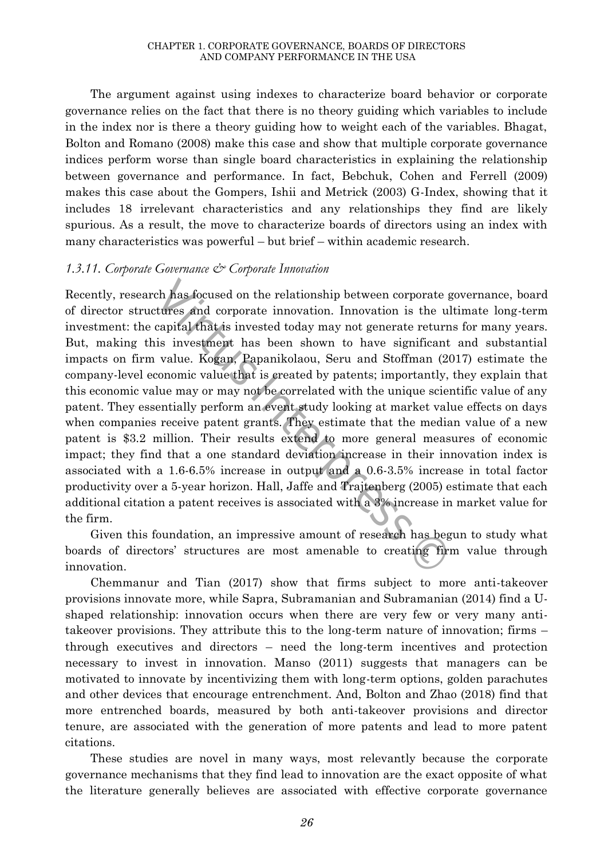The argument against using indexes to characterize board behavior or corporate governance relies on the fact that there is no theory guiding which variables to include in the index nor is there a theory guiding how to weight each of the variables. Bhagat, Bolton and Romano (2008) make this case and show that multiple corporate governance indices perform worse than single board characteristics in explaining the relationship between governance and performance. In fact, Bebchuk, Cohen and Ferrell (2009) makes this case about the Gompers, Ishii and Metrick (2003) G-Index, showing that it includes 18 irrelevant characteristics and any relationships they find are likely spurious. As a result, the move to characterize boards of directors using an index with many characteristics was powerful – but brief – within academic research.

#### *1.3.11. Corporate Governance & Corporate Innovation*

ch has focused on the relationship between corporate<br>tures and corporate innovation. Innovation is the u<br>capital that is invested today may not generate retur<br>is investment has been shown to have significan<br>value. Kogan, P Recently, research has focused on the relationship between corporate governance, board of director structures and corporate innovation. Innovation is the ultimate long-term investment: the capital that is invested today may not generate returns for many years. But, making this investment has been shown to have significant and substantial impacts on firm value. Kogan, Papanikolaou, Seru and Stoffman (2017) estimate the company-level economic value that is created by patents; importantly, they explain that this economic value may or may not be correlated with the unique scientific value of any patent. They essentially perform an event study looking at market value effects on days when companies receive patent grants. They estimate that the median value of a new patent is \$3.2 million. Their results extend to more general measures of economic impact; they find that a one standard deviation increase in their innovation index is associated with a 1.6-6.5% increase in output and a 0.6-3.5% increase in total factor productivity over a 5-year horizon. Hall, Jaffe and Trajtenberg (2005) estimate that each additional citation a patent receives is associated with a 3% increase in market value for the firm.

Given this foundation, an impressive amount of research has begun to study what boards of directors' structures are most amenable to creating firm value through innovation.

Chemmanur and Tian (2017) show that firms subject to more anti-takeover provisions innovate more, while Sapra, Subramanian and Subramanian (2014) find a Ushaped relationship: innovation occurs when there are very few or very many antitakeover provisions. They attribute this to the long-term nature of innovation; firms – through executives and directors – need the long-term incentives and protection necessary to invest in innovation. Manso (2011) suggests that managers can be motivated to innovate by incentivizing them with long-term options, golden parachutes and other devices that encourage entrenchment. And, Bolton and Zhao (2018) find that more entrenched boards, measured by both anti-takeover provisions and director tenure, are associated with the generation of more patents and lead to more patent citations.

These studies are novel in many ways, most relevantly because the corporate governance mechanisms that they find lead to innovation are the exact opposite of what the literature generally believes are associated with effective corporate governance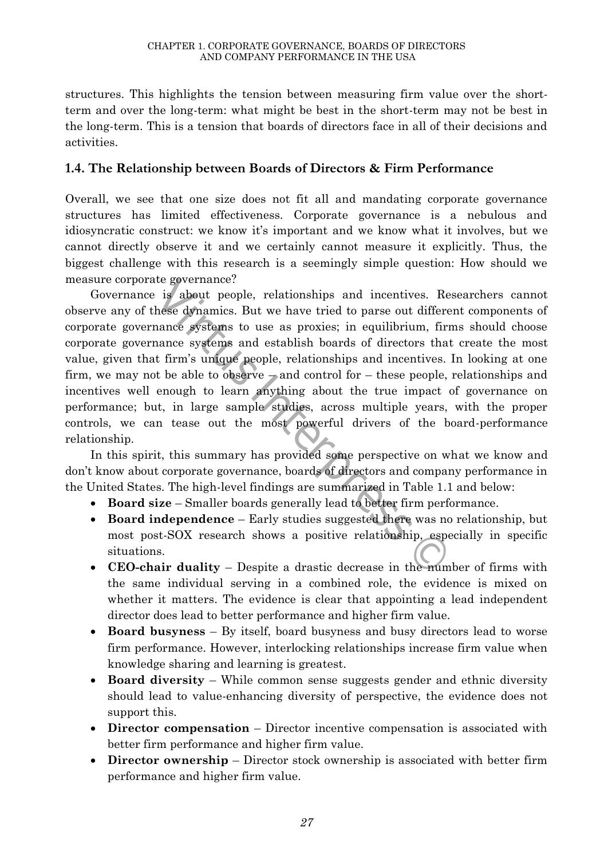structures. This highlights the tension between measuring firm value over the shortterm and over the long-term: what might be best in the short-term may not be best in the long-term. This is a tension that boards of directors face in all of their decisions and activities.

# **1.4. The Relationship between Boards of Directors & Firm Performance**

Overall, we see that one size does not fit all and mandating corporate governance structures has limited effectiveness. Corporate governance is a nebulous and idiosyncratic construct: we know it's important and we know what it involves, but we cannot directly observe it and we certainly cannot measure it explicitly. Thus, the biggest challenge with this research is a seemingly simple question: How should we measure corporate governance?

The governance:<br>
is about people, relationships and incentives. Reflexed abramics. But we have tried to parse out differ<br>
nance systems to use as proxies; in equilibrium, fin<br>
inance systems and establish boards of directo Governance is about people, relationships and incentives. Researchers cannot observe any of these dynamics. But we have tried to parse out different components of corporate governance systems to use as proxies; in equilibrium, firms should choose corporate governance systems and establish boards of directors that create the most value, given that firm's unique people, relationships and incentives. In looking at one firm, we may not be able to observe – and control for – these people, relationships and incentives well enough to learn anything about the true impact of governance on performance; but, in large sample studies, across multiple years, with the proper controls, we can tease out the most powerful drivers of the board-performance relationship.

In this spirit, this summary has provided some perspective on what we know and don't know about corporate governance, boards of directors and company performance in the United States. The high-level findings are summarized in Table 1.1 and below:

- **Board size** Smaller boards generally lead to better firm performance.
- **Board independence** Early studies suggested there was no relationship, but most post-SOX research shows a positive relationship, especially in specific situations.
- **CEO-chair duality** Despite a drastic decrease in the number of firms with the same individual serving in a combined role, the evidence is mixed on whether it matters. The evidence is clear that appointing a lead independent director does lead to better performance and higher firm value.
- **Board busyness** By itself, board busyness and busy directors lead to worse firm performance. However, interlocking relationships increase firm value when knowledge sharing and learning is greatest.
- **Board diversity** While common sense suggests gender and ethnic diversity should lead to value-enhancing diversity of perspective, the evidence does not support this.
- **Director compensation** Director incentive compensation is associated with better firm performance and higher firm value.
- **Director ownership** Director stock ownership is associated with better firm performance and higher firm value.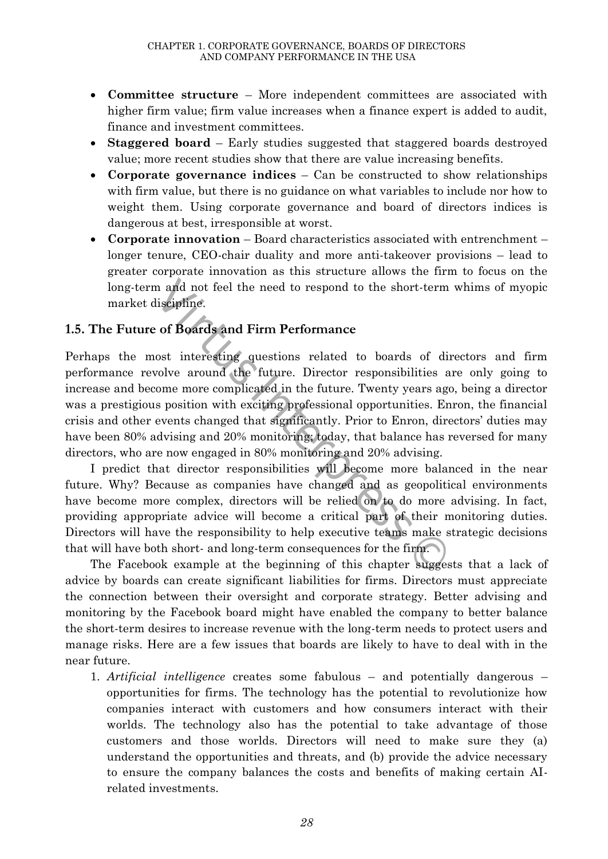- **Committee structure** More independent committees are associated with higher firm value; firm value increases when a finance expert is added to audit, finance and investment committees.
- **Staggered board** Early studies suggested that staggered boards destroyed value; more recent studies show that there are value increasing benefits.
- **Corporate governance indices** Can be constructed to show relationships with firm value, but there is no guidance on what variables to include nor how to weight them. Using corporate governance and board of directors indices is dangerous at best, irresponsible at worst.
- **Corporate innovation** Board characteristics associated with entrenchment longer tenure, CEO-chair duality and more anti-takeover provisions – lead to greater corporate innovation as this structure allows the firm to focus on the long-term and not feel the need to respond to the short-term whims of myopic market discipline.

# **1.5. The Future of Boards and Firm Performance**

Virtus Interpress © Perhaps the most interesting questions related to boards of directors and firm performance revolve around the future. Director responsibilities are only going to increase and become more complicated in the future. Twenty years ago, being a director was a prestigious position with exciting professional opportunities. Enron, the financial crisis and other events changed that significantly. Prior to Enron, directors' duties may have been 80% advising and 20% monitoring; today, that balance has reversed for many directors, who are now engaged in 80% monitoring and 20% advising.

I predict that director responsibilities will become more balanced in the near future. Why? Because as companies have changed and as geopolitical environments have become more complex, directors will be relied on to do more advising. In fact, providing appropriate advice will become a critical part of their monitoring duties. Directors will have the responsibility to help executive teams make strategic decisions that will have both short- and long-term consequences for the firm.

The Facebook example at the beginning of this chapter suggests that a lack of advice by boards can create significant liabilities for firms. Directors must appreciate the connection between their oversight and corporate strategy. Better advising and monitoring by the Facebook board might have enabled the company to better balance the short-term desires to increase revenue with the long-term needs to protect users and manage risks. Here are a few issues that boards are likely to have to deal with in the near future.

1. *Artificial intelligence* creates some fabulous – and potentially dangerous – opportunities for firms. The technology has the potential to revolutionize how companies interact with customers and how consumers interact with their worlds. The technology also has the potential to take advantage of those customers and those worlds. Directors will need to make sure they (a) understand the opportunities and threats, and (b) provide the advice necessary to ensure the company balances the costs and benefits of making certain AIrelated investments.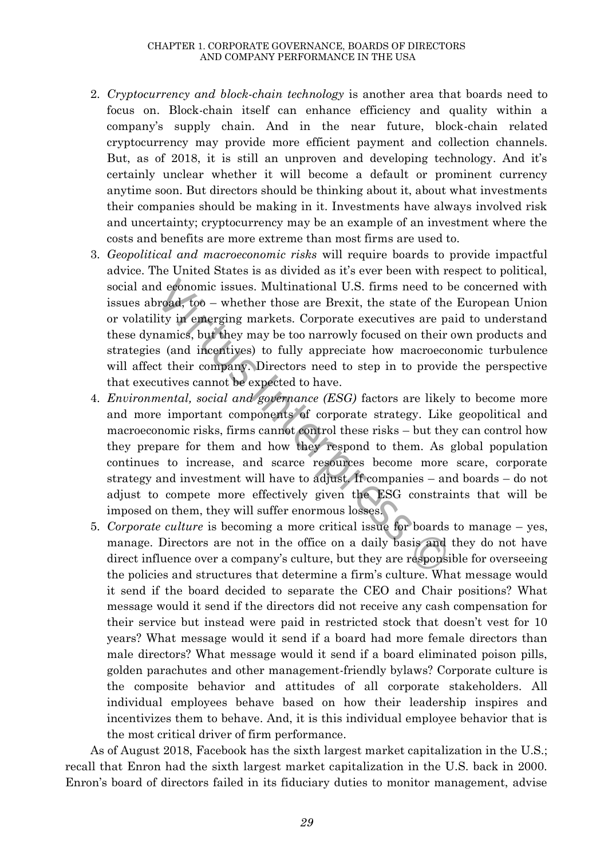#### CHAPTER 1. CORPORATE GOVERNANCE, BOARDS OF DIRECTORS AND COMPANY PERFORMANCE IN THE USA

- 2. *Cryptocurrency and block-chain technology* is another area that boards need to focus on. Block-chain itself can enhance efficiency and quality within a company's supply chain. And in the near future, block-chain related cryptocurrency may provide more efficient payment and collection channels. But, as of 2018, it is still an unproven and developing technology. And it's certainly unclear whether it will become a default or prominent currency anytime soon. But directors should be thinking about it, about what investments their companies should be making in it. Investments have always involved risk and uncertainty; cryptocurrency may be an example of an investment where the costs and benefits are more extreme than most firms are used to.
- 3. *Geopolitical and macroeconomic risks* will require boards to provide impactful advice. The United States is as divided as it's ever been with respect to political, social and economic issues. Multinational U.S. firms need to be concerned with issues abroad, too – whether those are Brexit, the state of the European Union or volatility in emerging markets. Corporate executives are paid to understand these dynamics, but they may be too narrowly focused on their own products and strategies (and incentives) to fully appreciate how macroeconomic turbulence will affect their company. Directors need to step in to provide the perspective that executives cannot be expected to have.
- d economic issues. Multinational U.S. firms need to<br>proad, too whether those are Brexit, the state of th<br>lity in emerging markets. Corporate executives are p<br>namics, but they may be too narrowly focused on their<br>s (and i 4. *Environmental, social and governance (ESG)* factors are likely to become more and more important components of corporate strategy. Like geopolitical and macroeconomic risks, firms cannot control these risks – but they can control how they prepare for them and how they respond to them. As global population continues to increase, and scarce resources become more scare, corporate strategy and investment will have to adjust. If companies – and boards – do not adjust to compete more effectively given the ESG constraints that will be imposed on them, they will suffer enormous losses.
- 5. *Corporate culture* is becoming a more critical issue for boards to manage yes, manage. Directors are not in the office on a daily basis and they do not have direct influence over a company's culture, but they are responsible for overseeing the policies and structures that determine a firm's culture. What message would it send if the board decided to separate the CEO and Chair positions? What message would it send if the directors did not receive any cash compensation for their service but instead were paid in restricted stock that doesn't vest for 10 years? What message would it send if a board had more female directors than male directors? What message would it send if a board eliminated poison pills, golden parachutes and other management-friendly bylaws? Corporate culture is the composite behavior and attitudes of all corporate stakeholders. All individual employees behave based on how their leadership inspires and incentivizes them to behave. And, it is this individual employee behavior that is the most critical driver of firm performance.

As of August 2018, Facebook has the sixth largest market capitalization in the U.S.; recall that Enron had the sixth largest market capitalization in the U.S. back in 2000. Enron's board of directors failed in its fiduciary duties to monitor management, advise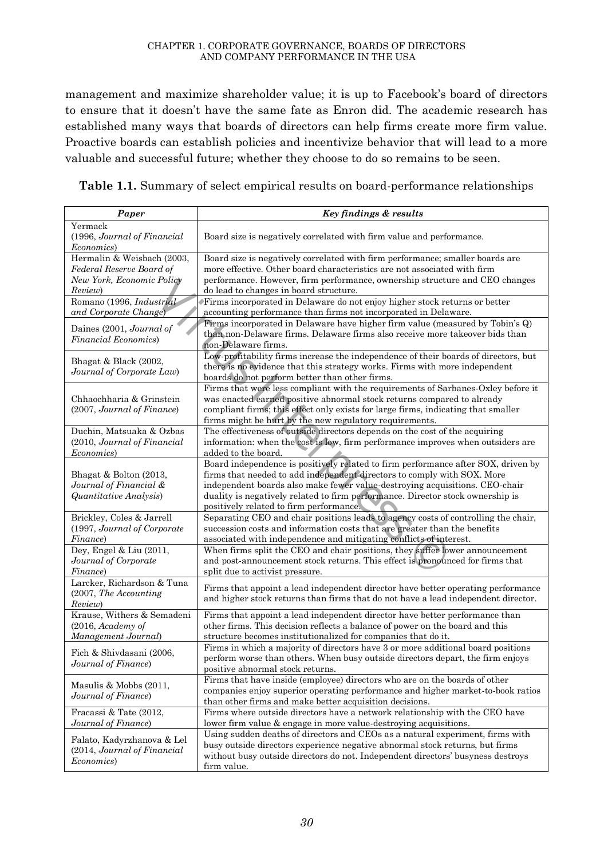management and maximize shareholder value; it is up to Facebook's board of directors to ensure that it doesn't have the same fate as Enron did. The academic research has established many ways that boards of directors can help firms create more firm value. Proactive boards can establish policies and incentivize behavior that will lead to a more valuable and successful future; whether they choose to do so remains to be seen.

**Table 1.1.** Summary of select empirical results on board-performance relationships

| Paper                                                                                          | Key findings & results                                                                                                                                                                                                                                                                                                                                                   |
|------------------------------------------------------------------------------------------------|--------------------------------------------------------------------------------------------------------------------------------------------------------------------------------------------------------------------------------------------------------------------------------------------------------------------------------------------------------------------------|
| Yermack<br>(1996, Journal of Financial<br><i>Economics</i> )                                   | Board size is negatively correlated with firm value and performance.                                                                                                                                                                                                                                                                                                     |
| Hermalin & Weisbach (2003,<br>Federal Reserve Board of<br>New York, Economic Policy<br>Review) | Board size is negatively correlated with firm performance; smaller boards are<br>more effective. Other board characteristics are not associated with firm<br>performance. However, firm performance, ownership structure and CEO changes<br>do lead to changes in board structure.                                                                                       |
| Romano (1996, <i>Industrial</i><br>and Corporate Change)                                       | Firms incorporated in Delaware do not enjoy higher stock returns or better<br>accounting performance than firms not incorporated in Delaware.                                                                                                                                                                                                                            |
| Daines (2001, Journal of<br><b>Financial Economics</b> )                                       | Firms incorporated in Delaware have higher firm value (measured by Tobin's Q)<br>than non-Delaware firms. Delaware firms also receive more take over bids than<br>non-Delaware firms.                                                                                                                                                                                    |
| Bhagat & Black (2002,<br>Journal of Corporate Law)                                             | Low-profitability firms increase the independence of their boards of directors, but<br>there is no evidence that this strategy works. Firms with more independent<br>boards do not perform better than other firms.                                                                                                                                                      |
| Chhaochharia & Grinstein<br>(2007, Journal of Finance)                                         | Firms that were less compliant with the requirements of Sarbanes-Oxley before it<br>was enacted earned positive abnormal stock returns compared to already<br>compliant firms; this effect only exists for large firms, indicating that smaller<br>firms might be hurt by the new regulatory requirements.                                                               |
| Duchin, Matsuaka & Ozbas<br>(2010, Journal of Financial<br>Economics)                          | The effectiveness of outside directors depends on the cost of the acquiring<br>information: when the cost is low, firm performance improves when outsiders are<br>added to the board.                                                                                                                                                                                    |
| Bhagat & Bolton (2013,<br>Journal of Financial &<br>Quantitative Analysis)                     | Board independence is positively related to firm performance after SOX, driven by<br>firms that needed to add independent directors to comply with SOX. More<br>independent boards also make fewer value-destroying acquisitions. CEO-chair<br>duality is negatively related to firm performance. Director stock ownership is<br>positively related to firm performance. |
| Brickley, Coles & Jarrell<br>(1997, Journal of Corporate)<br>Finance)                          | Separating CEO and chair positions leads to agency costs of controlling the chair,<br>succession costs and information costs that are greater than the benefits<br>associated with independence and mitigating conflicts of interest.                                                                                                                                    |
| Dey, Engel & Liu (2011,<br>Journal of Corporate<br>Finance)                                    | When firms split the CEO and chair positions, they suffer lower announcement<br>and post-announcement stock returns. This effect is pronounced for firms that<br>split due to activist pressure.                                                                                                                                                                         |
| Larcker, Richardson & Tuna<br>(2007, The Accounting<br>Review)                                 | Firms that appoint a lead independent director have better operating performance<br>and higher stock returns than firms that do not have a lead independent director.                                                                                                                                                                                                    |
| Krause, Withers & Semadeni<br>(2016, Academy of<br>Management Journal)                         | Firms that appoint a lead independent director have better performance than<br>other firms. This decision reflects a balance of power on the board and this<br>structure becomes institutionalized for companies that do it.                                                                                                                                             |
| Fich & Shivdasani (2006,<br>Journal of Finance)                                                | Firms in which a majority of directors have 3 or more additional board positions<br>perform worse than others. When busy outside directors depart, the firm enjoys<br>positive abnormal stock returns.                                                                                                                                                                   |
| Masulis & Mobbs (2011,<br>Journal of Finance)                                                  | Firms that have inside (employee) directors who are on the boards of other<br>companies enjoy superior operating performance and higher market-to-book ratios<br>than other firms and make better acquisition decisions.                                                                                                                                                 |
| Fracassi & Tate (2012,<br>Journal of Finance)                                                  | Firms where outside directors have a network relationship with the CEO have<br>lower firm value & engage in more value-destroying acquisitions.                                                                                                                                                                                                                          |
| Falato, Kadyrzhanova & Lel<br>(2014, Journal of Financial<br><i>Economics</i> )                | Using sudden deaths of directors and CEOs as a natural experiment, firms with<br>busy outside directors experience negative abnormal stock returns, but firms<br>without busy outside directors do not. Independent directors' busyness destroys<br>firm value.                                                                                                          |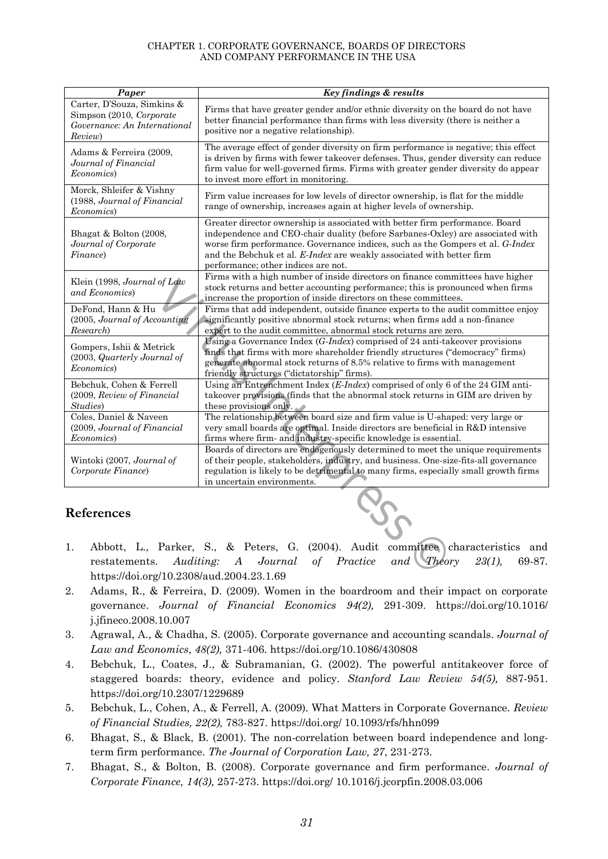#### CHAPTER 1. CORPORATE GOVERNANCE, BOARDS OF DIRECTORS AND COMPANY PERFORMANCE IN THE USA

| Paper                                                                                             | Key findings & results                                                                                                                                                                                                                                                                                                                                           |
|---------------------------------------------------------------------------------------------------|------------------------------------------------------------------------------------------------------------------------------------------------------------------------------------------------------------------------------------------------------------------------------------------------------------------------------------------------------------------|
| Carter, D'Souza, Simkins &<br>Simpson (2010, Corporate<br>Governance: An International<br>Review) | Firms that have greater gender and/or ethnic diversity on the board do not have<br>better financial performance than firms with less diversity (there is neither a<br>positive nor a negative relationship).                                                                                                                                                     |
| Adams & Ferreira (2009,<br>Journal of Financial<br>Economics)                                     | The average effect of gender diversity on firm performance is negative; this effect<br>is driven by firms with fewer takeover defenses. Thus, gender diversity can reduce<br>firm value for well-governed firms. Firms with greater gender diversity do appear<br>to invest more effort in monitoring.                                                           |
| Morck, Shleifer & Vishny<br>(1988, Journal of Financial<br>Economics)                             | Firm value increases for low levels of director ownership, is flat for the middle<br>range of ownership, increases again at higher levels of ownership.                                                                                                                                                                                                          |
| Bhagat & Bolton (2008,<br>Journal of Corporate<br>Finance)                                        | Greater director ownership is associated with better firm performance. Board<br>independence and CEO-chair duality (before Sarbanes-Oxley) are associated with<br>worse firm performance. Governance indices, such as the Gompers et al. G-Index<br>and the Bebchuk et al. E-Index are weakly associated with better firm<br>performance; other indices are not. |
| Klein (1998, Journal of Law<br>and Economics)                                                     | Firms with a high number of inside directors on finance committees have higher<br>stock returns and better accounting performance; this is pronounced when firms<br>increase the proportion of inside directors on these committees.                                                                                                                             |
| DeFond, Hann & Hu<br>(2005, Journal of Accounting<br>Research)                                    | Firms that add independent, outside finance experts to the audit committee enjoy<br>significantly positive abnormal stock returns; when firms add a non-finance<br>expert to the audit committee, abnormal stock returns are zero.                                                                                                                               |
| Gompers, Ishii & Metrick<br>(2003, Quarterly Journal of<br>Economics)                             | Using a Governance Index $(G-Index)$ comprised of 24 anti-takeover provisions<br>finds that firms with more shareholder friendly structures ("democracy" firms)<br>generate abnormal stock returns of 8.5% relative to firms with management<br>friendly structures ("dictatorship" firms).                                                                      |
| Bebchuk, Cohen & Ferrell<br>(2009, Review of Financial<br>Studies)                                | Using an Entrenchment Index $(E\text{-}Index)$ comprised of only 6 of the 24 GIM anti-<br>takeover provisions (finds that the abnormal stock returns in GIM are driven by<br>these provisions only.                                                                                                                                                              |
| Coles, Daniel & Naveen<br>(2009, Journal of Financial<br>Economics)                               | The relationship between board size and firm value is U-shaped: very large or<br>very small boards are optimal. Inside directors are beneficial in R&D intensive<br>firms where firm- and industry-specific knowledge is essential.                                                                                                                              |
| Wintoki (2007, Journal of<br>Corporate Finance)                                                   | Boards of directors are endogenously determined to meet the unique requirements<br>of their people, stakeholders, industry, and business. One-size-fits-all governance<br>regulation is likely to be detrimental to many firms, especially small growth firms<br>in uncertain environments.                                                                      |
| References                                                                                        | $\frac{1}{2}$                                                                                                                                                                                                                                                                                                                                                    |
| 1.                                                                                                | Abbott, L., Parker, S., & Peters, G. (2004). Audit committee characteristics and<br>99(1)<br>stements Auditing A Leumal of Description and<br>$\mathcal{F}$ <i>h</i> <sub>20</sub> $\ldots$<br>$c_0$ $c_7$                                                                                                                                                       |

# **References**

- 1. Abbott, L., Parker, S., & Peters, G. (2004). Audit committee characteristics and restatements. *Auditing: A Journal of Practice and Theory 23(1),* 69-87. https://doi.org/10.2308/aud.2004.23.1.69
- 2. Adams, R., & Ferreira, D. (2009). Women in the boardroom and their impact on corporate governance. *Journal of Financial Economics 94(2),* 291-309. <https://doi.org/10.1016/> j.jfineco.2008.10.007
- 3. Agrawal, A., & Chadha, S. (2005). Corporate governance and accounting scandals. *Journal of Law and Economics*, *48(2),* 371-406. <https://doi.org/10.1086/430808>
- 4. Bebchuk, L., Coates, J., & Subramanian, G. (2002). The powerful antitakeover force of staggered boards: theory, evidence and policy. *Stanford Law Review 54(5),* 887-951. <https://doi.org/10.2307/1229689>
- 5. Bebchuk, L., Cohen, A., & Ferrell, A. (2009). What Matters in Corporate Governance. *Review of Financial Studies, 22(2),* 783-827. <https://doi.org/> 10.1093/rfs/hhn099
- 6. Bhagat, S., & Black, B. (2001). The non-correlation between board independence and longterm firm performance. *The Journal of Corporation Law, 27*, 231-273.
- 7. Bhagat, S., & Bolton, B. (2008). Corporate governance and firm performance. *Journal of Corporate Finance, 14(3),* 257-273. <https://doi.org/> 10.1016/j.jcorpfin.2008.03.006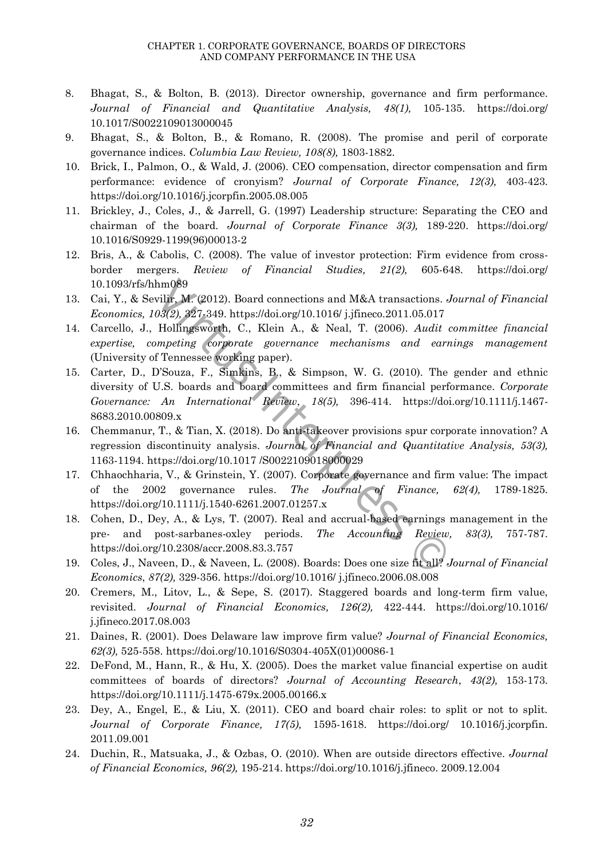- 8. Bhagat, S., & Bolton, B. (2013). Director ownership, governance and firm performance. *Journal of Financial and Quantitative Analysis, 48(1),* 105-135. <https://doi.org/> 10.1017/S0022109013000045
- 9. Bhagat, S., & Bolton, B., & Romano, R. (2008). The promise and peril of corporate governance indices. *Columbia Law Review, 108(8),* 1803-1882.
- 10. Brick, I., Palmon, O., & Wald, J. (2006). CEO compensation, director compensation and firm performance: evidence of cronyism? *Journal of Corporate Finance, 12(3),* 403-423. https://doi.org/10.1016/j.jcorpfin.2005.08.005
- 11. Brickley, J., Coles, J., & Jarrell, G. (1997) Leadership structure: Separating the CEO and chairman of the board. *Journal of Corporate Finance 3(3),* 189-220. <https://doi.org/> 10.1016/S0929-1199(96)00013-2
- 12. Bris, A., & Cabolis, C. (2008). The value of investor protection: Firm evidence from crossborder mergers. *Review of Financial Studies, 21(2),* 605-648. <https://doi.org/> 10.1093/rfs/hhm089
- 13. Cai, Y., & Sevilir, M. (2012). Board connections and M&A transactions. *Journal of Financial Economics, 103(2),* 327-349. https://doi.org/10.1016/ j.jfineco.2011.05.017
- 14. Carcello, J., Hollingsworth, C., Klein A., & Neal, T. (2006). *Audit committee financial expertise, competing corporate governance mechanisms and earnings management* (University of Tennessee working paper).
- hm089<br>
vilir, M. (2012). Board connections and M&A transactions.<br>  $0.9(2)$ ,  $327.349$ . https://doi.org/10.1016/ j.jfineco.2011.05.017<br>
Hollingsworth, C., Klein A., & Neal, T. (2006). *Audit*<br> *Impeting corporate governanc* 15. Carter, D., D'Souza, F., Simkins, B., & Simpson, W. G. (2010). The gender and ethnic diversity of U.S. boards and board committees and firm financial performance. *Corporate Governance: An International Review*, *18(5),* 396-414. https://doi.org/10.1111/j.1467- 8683.2010.00809.x
- 16. Chemmanur, T., & Tian, X. (2018). Do anti-takeover provisions spur corporate innovation? A regression discontinuity analysis. *Journal of Financial and Quantitative Analysis, 53(3),* 1163-1194. https://doi.org/10.1017 /S0022109018000029
- 17. Chhaochharia, V., & Grinstein, Y. (2007). Corporate governance and firm value: The impact of the 2002 governance rules. *The Journal of Finance, 62(4),* 1789-1825. https://doi.org/10.1111/j.1540-6261.2007.01257.x
- 18. Cohen, D., Dey, A., & Lys, T. (2007). Real and accrual-based earnings management in the pre- and post-sarbanes-oxley periods. *The Accounting Review, 83(3),* 757-787. https://doi.org/10.2308/accr.2008.83.3.757
- 19. Coles, J., Naveen, D., & Naveen, L. (2008). Boards: Does one size fit all? *Journal of Financial Economics*, *87(2),* 329-356. <https://doi.org/10.1016/> j.jfineco.2006.08.008
- 20. Cremers, M., Litov, L., & Sepe, S. (2017). Staggered boards and long-term firm value, revisited. *Journal of Financial Economics, 126(2),* 422-444. <https://doi.org/10.1016/> j.jfineco.2017.08.003
- 21. Daines, R. (2001). Does Delaware law improve firm value? *Journal of Financial Economics, 62(3),* 525-558. https://doi.org/10.1016/S0304-405X(01)00086-1
- 22. DeFond, M., Hann, R., & Hu, X. (2005). Does the market value financial expertise on audit committees of boards of directors? *Journal of Accounting Research*, *43(2),* 153-173. https://doi.org/10.1111/j.1475-679x.2005.00166.x
- 23. Dey, A., Engel, E., & Liu, X. (2011). CEO and board chair roles: to split or not to split. *Journal of Corporate Finance, 17(5),* 1595-1618. <https://doi.org/> 10.1016/j.jcorpfin. 2011.09.001
- 24. Duchin, R., Matsuaka, J., & Ozbas, O. (2010). When are outside directors effective. *Journal of Financial Economics, 96(2),* 195-214. [https://doi.org/10.1016/j.jfineco. 2009.12.004](https://doi.org/10.1016/j.jfineco.%202009.12.004)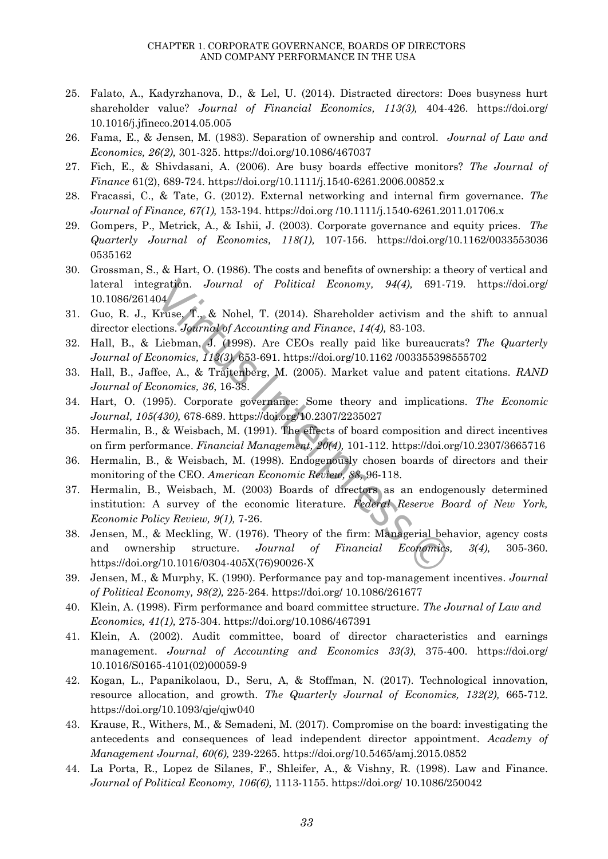- 25. Falato, A., Kadyrzhanova, D., & Lel, U. (2014). Distracted directors: Does busyness hurt shareholder value? *Journal of Financial Economics, 113(3),* 404-426. <https://doi.org/> 10.1016/j.jfineco.2014.05.005
- 26. Fama, E., & Jensen, M. (1983). Separation of ownership and control. *Journal of Law and Economics, 26(2),* 301-325. https://doi.org/10.1086/467037
- 27. Fich, E., & Shivdasani, A. (2006). Are busy boards effective monitors? *The Journal of Finance* 61(2), 689-724. https://doi.org/10.1111/j.1540-6261.2006.00852.x
- 28. Fracassi, C., & Tate, G. (2012). External networking and internal firm governance. *The Journal of Finance, 67(1),* 153-194[. https://doi.org](https://doi.org/) /10.1111/j.1540-6261.2011.01706.x
- 29. Gompers, P., Metrick, A., & Ishii, J. (2003). Corporate governance and equity prices. *The Quarterly Journal of Economics, 118(1),* 107-156. [https://doi.org/10.1162/0](https://doi.org/10.1162/)033553036 0535162
- 30. Grossman, S., & Hart, O. (1986). The costs and benefits of ownership: a theory of vertical and lateral integration. *Journal of Political Economy, 94(4),* 691-719. <https://doi.org/> 10.1086/261404
- 31. Guo, R. J., Kruse, T., & Nohel, T. (2014). Shareholder activism and the shift to annual director elections. *Journal of Accounting and Finance*, *14(4),* 83-103.
- 32. Hall, B., & Liebman, J. (1998). Are CEOs really paid like bureaucrats? *The Quarterly Journal of Economics, 113(3),* 653-691. https://doi.org/10.1162 /003355398555702
- 33. Hall, B., Jaffee, A., & Trajtenberg, M. (2005). Market value and patent citations. *RAND Journal of Economics, 36*, 16-38.
- 34. Hart, O. (1995). Corporate governance: Some theory and implications. *The Economic Journal, 105(430),* 678-689. https://doi.org/10.2307/2235027
- 35. Hermalin, B., & Weisbach, M. (1991). The effects of board composition and direct incentives on firm performance. *Financial Management, 20(4),* 101-112. https://doi.org/10.2307/3665716
- 36. Hermalin, B., & Weisbach, M. (1998). Endogenously chosen boards of directors and their monitoring of the CEO. *American Economic Review, 88,* 96-118.
- gration. Journal of Political Economy, 94(4), 691-<br>
Aruse, T., & Nohel, T. (2014). Shareholder activism and<br>
ions. Journal of Accounting and Finance, 14(4), 83-103.<br>
Liebman, J. (1998). Are CEOs really paid like bureauc<br> 37. Hermalin, B., Weisbach, M. (2003) Boards of directors as an endogenously determined institution: A survey of the economic literature. *Federal Reserve Board of New York, Economic Policy Review, 9(1),* 7-26.
- 38. Jensen, M., & Meckling, W. (1976). Theory of the firm: Managerial behavior, agency costs and ownership structure. *Journal of Financial Economics, 3(4),* 305-360. https://doi.org/10.1016/0304-405X(76)90026-X
- 39. Jensen, M., & Murphy, K. (1990). Performance pay and top-management incentives. *Journal of Political Economy, 98(2),* 225-264. <https://doi.org/> 10.1086/261677
- 40. Klein, A. (1998). Firm performance and board committee structure. *The Journal of Law and Economics, 41(1),* 275-304. <https://doi.org/10.1086/467391>
- 41. Klein, A. (2002). Audit committee, board of director characteristics and earnings management. *Journal of Accounting and Economics 33(3)*, 375-400. <https://doi.org/> 10.1016/S0165-4101(02)00059-9
- 42. Kogan, L., Papanikolaou, D., Seru, A, & Stoffman, N. (2017). Technological innovation, resource allocation, and growth. *The Quarterly Journal of Economics, 132(2),* 665-712. https://doi.org/10.1093/qje/qjw040
- 43. Krause, R., Withers, M., & Semadeni, M. (2017). Compromise on the board: investigating the antecedents and consequences of lead independent director appointment. *Academy of Management Journal, 60(6),* 239-2265. <https://doi.org/10.5465/amj.2015.0852>
- 44. La Porta, R., Lopez de Silanes, F., Shleifer, A., & Vishny, R. (1998). Law and Finance. *Journal of Political Economy, 106(6),* 1113-1155. <https://doi.org/> 10.1086/250042